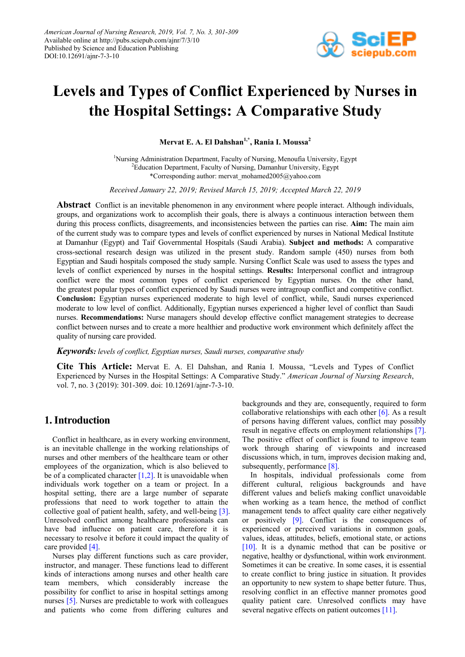

# **Levels and Types of Conflict Experienced by Nurses in the Hospital Settings: A Comparative Study**

**Mervat E. A. El Dahshan1,\*, Rania I. Moussa2**

<sup>1</sup>Nursing Administration Department, Faculty of Nursing, Menoufia University, Egypt <sup>2</sup>Education Department, Faculty of Nursing, Damanhur University, Egypt \*Corresponding author: mervat\_mohamed2005@yahoo.com

*Received January 22, 2019; Revised March 15, 2019; Accepted March 22, 2019*

**Abstract** Conflict is an inevitable phenomenon in any environment where people interact. Although individuals, groups, and organizations work to accomplish their goals, there is always a continuous interaction between them during this process conflicts, disagreements, and inconsistencies between the parties can rise. **Aim:** The main aim of the current study was to compare types and levels of conflict experienced by nurses in National Medical Institute at Damanhur (Egypt) and Taif Governmental Hospitals (Saudi Arabia). **Subject and methods:** A comparative cross-sectional research design was utilized in the present study. Random sample (450) nurses from both Egyptian and Saudi hospitals composed the study sample. Nursing Conflict Scale was used to assess the types and levels of conflict experienced by nurses in the hospital settings. **Results:** Interpersonal conflict and intragroup conflict were the most common types of conflict experienced by Egyptian nurses. On the other hand, the greatest popular types of conflict experienced by Saudi nurses were intragroup conflict and competitive conflict. **Conclusion:** Egyptian nurses experienced moderate to high level of conflict, while, Saudi nurses experienced moderate to low level of conflict. Additionally, Egyptian nurses experienced a higher level of conflict than Saudi nurses. **Recommendations:** Nurse managers should develop effective conflict management strategies to decrease conflict between nurses and to create a more healthier and productive work environment which definitely affect the quality of nursing care provided.

## *Keywords: levels of conflict, Egyptian nurses, Saudi nurses, comparative study*

**Cite This Article:** Mervat E. A. El Dahshan, and Rania I. Moussa, "Levels and Types of Conflict Experienced by Nurses in the Hospital Settings: A Comparative Study." *American Journal of Nursing Research*, vol. 7, no. 3 (2019): 301-309. doi: 10.12691/ajnr-7-3-10.

# **1.Introduction**

Conflict in healthcare, as in every working environment, is an inevitable challenge in the working relationships of nurses and other members of the healthcare team or other employees of the organization, which is also believed to be of a complicated character  $[1,2]$ . It is unavoidable when individuals work together on a team or project. In a hospital setting, there are a large number of separate professions that need to work together to attain the collective goal of patient health, safety, and well-being [\[3\].](#page-8-0) Unresolved conflict among healthcare professionals can have bad influence on patient care, therefore it is necessary to resolve it before it could impact the quality of care provided [\[4\].](#page-8-1)

Nurses play different functions such as care provider, instructor, and manager. These functions lead to different kinds of interactions among nurses and other health care team members, which considerably increase the possibility for conflict to arise in hospital settings among nurses [\[5\].](#page-8-2) Nurses are predictable to work with colleagues and patients who come from differing cultures and backgrounds and they are, consequently, required to form collaborative relationships with each other  $[6]$ . As a result of persons having different values, conflict may possibly result in negative effects on employment relationships [\[7\].](#page-8-4) The positive effect of conflict is found to improve team work through sharing of viewpoints and increased discussions which, in turn, improves decision making and, subsequently, performance [\[8\].](#page-8-5)

In hospitals, individual professionals come from different cultural, religious backgrounds and have different values and beliefs making conflict unavoidable when working as a team hence, the method of conflict management tends to affect quality care either negatively or positively [\[9\].](#page-8-6) Conflict is the consequences of experienced or perceived variations in common goals, values, ideas, attitudes, beliefs, emotional state, or actions [\[10\].](#page-8-7) It is a dynamic method that can be positive or negative, healthy or dysfunctional, within work environment. Sometimes it can be creative. In some cases, it is essential to create conflict to bring justice in situation. It provides an opportunity to new system to shape better future. Thus, resolving conflict in an effective manner promotes good quality patient care. Unresolved conflicts may have several negative effects on patient outcomes [\[11\].](#page-8-8)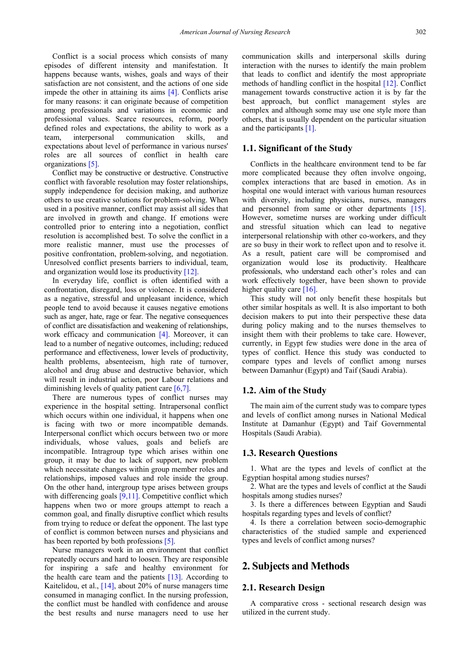Conflict is a social process which consists of many episodes of different intensity and manifestation. It happens because wants, wishes, goals and ways of their satisfaction are not consistent, and the actions of one side impede the other in attaining its aims [\[4\].](#page-8-1) Conflicts arise for many reasons: it can originate because of competition among professionals and variations in economic and professional values. Scarce resources, reform, poorly defined roles and expectations, the ability to work as a team, interpersonal communication skills, and expectations about level of performance in various nurses' roles are all sources of conflict in health care organizations [\[5\].](#page-8-2)

Conflict may be constructive or destructive. Constructive conflict with favorable resolution may foster relationships, supply independence for decision making, and authorize others to use creative solutions for problem-solving. When used in a positive manner, conflict may assist all sides that are involved in growth and change. If emotions were controlled prior to entering into a negotiation, conflict resolution is accomplished best. To solve the conflict in a more realistic manner, must use the processes of positive confrontation, problem-solving, and negotiation. Unresolved conflict presents barriers to individual, team, and organization would lose its productivit[y \[12\].](#page-8-9)

In everyday life, conflict is often identified with a confrontation, disregard, loss or violence. It is considered as a negative, stressful and unpleasant incidence, which people tend to avoid because it causes negative emotions such as anger, hate, rage or fear. The negative consequences of conflict are dissatisfaction and weakening of relationships, work efficacy and communication [\[4\].](#page-8-1) Moreover, it can lead to a number of negative outcomes, including; reduced performance and effectiveness, lower levels of productivity, health problems, absenteeism, high rate of turnover, alcohol and drug abuse and destructive behavior, which will result in industrial action, poor Labour relations and diminishing levels of quality patient care [\[6,7\].](#page-8-3)

There are numerous types of conflict nurses may experience in the hospital setting. Intrapersonal conflict which occurs within one individual, it happens when one is facing with two or more incompatible demands. Interpersonal conflict which occurs between two or more individuals, whose values, goals and beliefs are incompatible. Intragroup type which arises within one group, it may be due to lack of support, new problem which necessitate changes within group member roles and relationships, imposed values and role inside the group. On the other hand, intergroup type arises between groups with differencing goals [\[9,11\].](#page-8-6) Competitive conflict which happens when two or more groups attempt to reach a common goal, and finally disruptive conflict which results from trying to reduce or defeat the opponent. The last type of conflict is common between nurses and physicians and has been reported by both professions [\[5\].](#page-8-2)

Nurse managers work in an environment that conflict repeatedly occurs and hard to loosen. They are responsible for inspiring a safe and healthy environment for the health care team and the patients [\[13\].](#page-8-10) According to Kaitelidou, et al., [\[14\],](#page-8-11) about 20% of nurse managers time consumed in managing conflict. In the nursing profession, the conflict must be handled with confidence and arouse the best results and nurse managers need to use her communication skills and interpersonal skills during interaction with the nurses to identify the main problem that leads to conflict and identify the most appropriate methods of handling conflict in the hospital [\[12\].](#page-8-9) Conflict management towards constructive action it is by far the best approach, but conflict management styles are complex and although some may use one style more than others, that is usually dependent on the particular situation and the participants [\[1\].](#page-7-0)

#### **1.1. Significant of the Study**

Conflicts in the healthcare environment tend to be far more complicated because they often involve ongoing, complex interactions that are based in emotion. As in hospital one would interact with various human resources with diversity, including physicians, nurses, managers and personnel from same or other departments [\[15\].](#page-8-12) However, sometime nurses are working under difficult and stressful situation which can lead to negative interpersonal relationship with other co-workers, and they are so busy in their work to reflect upon and to resolve it. As a result, patient care will be compromised and organization would lose its productivity. Healthcare professionals, who understand each other's roles and can work effectively together, have been shown to provide higher quality care  $[16]$ .

This study will not only benefit these hospitals but other similar hospitals as well. It is also important to both decision makers to put into their perspective these data during policy making and to the nurses themselves to insight them with their problems to take care. However, currently, in Egypt few studies were done in the area of types of conflict. Hence this study was conducted to compare types and levels of conflict among nurses between Damanhur (Egypt) and Taif (Saudi Arabia).

#### **1.2. Aim of the Study**

The main aim of the current study was to compare types and levels of conflict among nurses in National Medical Institute at Damanhur (Egypt) and Taif Governmental Hospitals (Saudi Arabia).

#### **1.3. Research Questions**

1. What are the types and levels of conflict at the Egyptian hospital among studies nurses?

2. What are the types and levels of conflict at the Saudi hospitals among studies nurses?

3. Is there a differences between Egyptian and Saudi hospitals regarding types and levels of conflict?

4. Is there a correlation between socio-demographic characteristics of the studied sample and experienced types and levels of conflict among nurses?

# **2. Subjects and Methods**

#### **2.1. Research Design**

A comparative cross - sectional research design was utilized in the current study.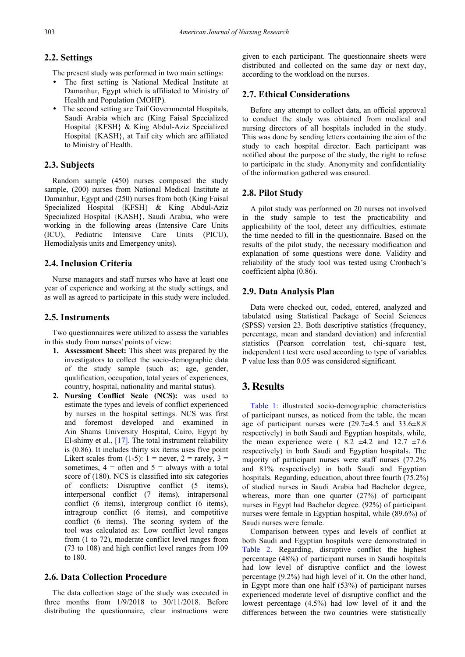## **2.2. Settings**

The present study was performed in two main settings:

- The first setting is National Medical Institute at Damanhur, Egypt which is affiliated to Ministry of Health and Population (MOHP).
- The second setting are Taif Governmental Hospitals, Saudi Arabia which are (King Faisal Specialized Hospital {KFSH} & King Abdul-Aziz Specialized Hospital {KASH}, at Taif city which are affiliated to Ministry of Health.

### **2.3. Subjects**

Random sample (450) nurses composed the study sample, (200) nurses from National Medical Institute at Damanhur, Egypt and (250) nurses from both (King Faisal Specialized Hospital {KFSH} & King Abdul-Aziz Specialized Hospital {KASH}, Saudi Arabia, who were working in the following areas (Intensive Care Units (ICU), Pediatric Intensive Care Units (PICU), Hemodialysis units and Emergency units).

## **2.4. Inclusion Criteria**

Nurse managers and staff nurses who have at least one year of experience and working at the study settings, and as well as agreed to participate in this study were included.

#### **2.5. Instruments**

Two questionnaires were utilized to assess the variables in this study from nurses' points of view:

- **1. Assessment Sheet:** This sheet was prepared by the investigators to collect the socio-demographic data of the study sample (such as; age, gender, qualification, occupation, total years of experiences, country, hospital, nationality and marital status).
- **2. Nursing Conflict Scale (NCS):** was used to estimate the types and levels of conflict experienced by nurses in the hospital settings. NCS was first and foremost developed and examined in Ain Shams University Hospital, Cairo, Egypt by El-shimy et al., [\[17\].](#page-8-14) The total instrument reliability is (0.86). It includes thirty six items uses five point Likert scales from  $(1-5)$ :  $1 =$  never,  $2 =$  rarely,  $3 =$ sometimes,  $4 =$  often and  $5 =$  always with a total score of (180). NCS is classified into six categories of conflicts: Disruptive conflict (5 items), interpersonal conflict (7 items), intrapersonal conflict (6 items), intergroup conflict (6 items), intragroup conflict (6 items), and competitive conflict (6 items). The scoring system of the tool was calculated as: Low conflict level ranges from (1 to 72), moderate conflict level ranges from (73 to 108) and high conflict level ranges from 109 to 180.

## **2.6. Data Collection Procedure**

The data collection stage of the study was executed in three months from 1/9/2018 to 30/11/2018. Before distributing the questionnaire, clear instructions were

given to each participant. The questionnaire sheets were distributed and collected on the same day or next day, according to the workload on the nurses.

## **2.7. Ethical Considerations**

Before any attempt to collect data, an official approval to conduct the study was obtained from medical and nursing directors of all hospitals included in the study. This was done by sending letters containing the aim of the study to each hospital director. Each participant was notified about the purpose of the study, the right to refuse to participate in the study. Anonymity and confidentiality of the information gathered was ensured.

#### **2.8. Pilot Study**

A pilot study was performed on 20 nurses not involved in the study sample to test the practicability and applicability of the tool, detect any difficulties, estimate the time needed to fill in the questionnaire. Based on the results of the pilot study, the necessary modification and explanation of some questions were done. Validity and reliability of the study tool was tested using Cronbach's coefficient alpha (0.86).

## **2.9. Data Analysis Plan**

Data were checked out, coded, entered, analyzed and tabulated using Statistical Package of Social Sciences (SPSS) version 23. Both descriptive statistics (frequency, percentage, mean and standard deviation) and inferential statistics (Pearson correlation test, chi-square test, independent t test were used according to type of variables. P value less than 0.05 was considered significant.

# **3. Results**

[Table 1:](#page-3-0) illustrated socio-demographic characteristics of participant nurses, as noticed from the table, the mean age of participant nurses were  $(29.7\pm4.5 \text{ and } 33.6\pm8.8 \text{)}$ respectively) in both Saudi and Egyptian hospitals, while, the mean experience were ( $8.2 \pm 4.2$  and  $12.7 \pm 7.6$ respectively) in both Saudi and Egyptian hospitals. The majority of participant nurses were staff nurses (77.2% and 81% respectively) in both Saudi and Egyptian hospitals. Regarding, education, about three fourth (75.2%) of studied nurses in Saudi Arabia had Bachelor degree, whereas, more than one quarter (27%) of participant nurses in Egypt had Bachelor degree. (92%) of participant nurses were female in Egyptian hospital, while (89.6%) of Saudi nurses were female.

Comparison between types and levels of conflict at both Saudi and Egyptian hospitals were demonstrated in [Table 2.](#page-4-0) Regarding, disruptive conflict the highest percentage (48%) of participant nurses in Saudi hospitals had low level of disruptive conflict and the lowest percentage (9.2%) had high level of it. On the other hand, in Egypt more than one half (53%) of participant nurses experienced moderate level of disruptive conflict and the lowest percentage (4.5%) had low level of it and the differences between the two countries were statistically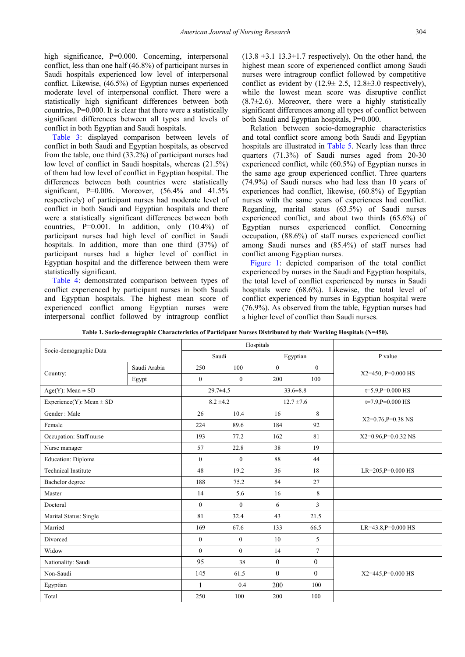high significance, P=0.000. Concerning, interpersonal conflict, less than one half (46.8%) of participant nurses in Saudi hospitals experienced low level of interpersonal conflict. Likewise, (46.5%) of Egyptian nurses experienced moderate level of interpersonal conflict. There were a statistically high significant differences between both countries, P=0.000. It is clear that there were a statistically significant differences between all types and levels of conflict in both Egyptian and Saudi hospitals.

[Table 3:](#page-4-1) displayed comparison between levels of conflict in both Saudi and Egyptian hospitals, as observed from the table, one third (33.2%) of participant nurses had low level of conflict in Saudi hospitals, whereas (21.5%) of them had low level of conflict in Egyptian hospital. The differences between both countries were statistically significant,  $P=0.006$ . Moreover,  $(56.4\%$  and  $41.5\%$ respectively) of participant nurses had moderate level of conflict in both Saudi and Egyptian hospitals and there were a statistically significant differences between both countries,  $P=0.001$ . In addition, only  $(10.4\%)$  of participant nurses had high level of conflict in Saudi hospitals. In addition, more than one third (37%) of participant nurses had a higher level of conflict in Egyptian hospital and the difference between them were statistically significant.

[Table 4:](#page-4-2) demonstrated comparison between types of conflict experienced by participant nurses in both Saudi and Egyptian hospitals. The highest mean score of experienced conflict among Egyptian nurses were interpersonal conflict followed by intragroup conflict  $(13.8 \pm 3.1 \, 13.3 \pm 1.7 \,$  respectively). On the other hand, the highest mean score of experienced conflict among Saudi nurses were intragroup conflict followed by competitive conflict as evident by  $(12.9 \pm 2.5, 12.8 \pm 3.0)$  respectively), while the lowest mean score was disruptive conflict  $(8.7\pm2.6)$ . Moreover, there were a highly statistically significant differences among all types of conflict between both Saudi and Egyptian hospitals, P=0.000.

Relation between socio-demographic characteristics and total conflict score among both Saudi and Egyptian hospitals are illustrated in [Table 5.](#page-5-0) Nearly less than three quarters (71.3%) of Saudi nurses aged from 20-30 experienced conflict, while (60.5%) of Egyptian nurses in the same age group experienced conflict. Three quarters (74.9%) of Saudi nurses who had less than 10 years of experiences had conflict, likewise, (60.8%) of Egyptian nurses with the same years of experiences had conflict. Regarding, marital status (63.5%) of Saudi nurses experienced conflict, and about two thirds (65.6%) of Egyptian nurses experienced conflict. Concerning occupation, (88.6%) of staff nurses experienced conflict among Saudi nurses and (85.4%) of staff nurses had conflict among Egyptian nurses.

[Figure 1:](#page-5-1) depicted comparison of the total conflict experienced by nurses in the Saudi and Egyptian hospitals, the total level of conflict experienced by nurses in Saudi hospitals were (68.6%). Likewise, the total level of conflict experienced by nurses in Egyptian hospital were (76.9%). As observed from the table, Egyptian nurses had a higher level of conflict than Saudi nurses.

<span id="page-3-0"></span>

| Socio-demographic Data       |              |                  | Hospitals        |                |                |                          |
|------------------------------|--------------|------------------|------------------|----------------|----------------|--------------------------|
|                              |              | Saudi            |                  | Egyptian       |                | P value                  |
|                              | Saudi Arabia | 250              | 100              | $\theta$       | $\overline{0}$ | X2=450, P=0.000 HS       |
| Country:                     | Egypt        | $\mathbf{0}$     | $\mathbf{0}$     | 200            | 100            |                          |
| $Age(Y)$ : Mean $\pm$ SD     |              | $29.7 \pm 4.5$   |                  | $33.6 \pm 8.8$ |                | $t=5.9$ , $P=0.000$ HS   |
| Experience(Y): Mean $\pm$ SD |              | $8.2 \pm 4.2$    |                  | $12.7 \pm 7.6$ |                | $t=7.9, P=0.000$ HS      |
| Gender: Male                 |              | 26               | 10.4             | 16             | 8              | $X2=0.76$ , $P=0.38$ NS  |
| Female                       |              | 224              | 89.6             | 184            | 92             |                          |
| Occupation: Staff nurse      |              | 193              | 77.2             | 162            | 81             | $X2=0.96$ , $P=0.032$ NS |
| Nurse manager                |              | 57               | 22.8             | 38             | 19             |                          |
| Education: Diploma           |              | $\boldsymbol{0}$ | $\boldsymbol{0}$ | 88             | 44             |                          |
| <b>Technical Institute</b>   |              | 48               | 19.2             | 36             | 18             | LR=205, P=0.000 HS       |
| Bachelor degree              |              | 188              | 75.2             | 54             | 27             |                          |
| Master                       |              | 14               | 5.6              | 16             | 8              |                          |
| Doctoral                     |              | $\mathbf{0}$     | $\mathbf{0}$     | 6              | 3              |                          |
| Marital Status: Single       |              | 81               | 32.4             | 43             | 21.5           |                          |
| Married                      |              | 169              | 67.6             | 133            | 66.5           | $LR=43.8$ , $P=0.000$ HS |
| Divorced                     |              | $\mathbf{0}$     | $\overline{0}$   | 10             | 5              |                          |
| Widow                        |              | $\mathbf{0}$     | $\overline{0}$   | 14             | $\overline{7}$ |                          |
| Nationality: Saudi           |              | 95               | 38               | $\overline{0}$ | $\theta$       |                          |
| Non-Saudi                    |              | 145              | 61.5             | $\theta$       | $\theta$       | X2=445, P=0.000 HS       |
| Egyptian                     |              | $\mathbf{1}$     | 0.4              | 200            | 100            |                          |
| Total                        |              | 250              | 100              | 200            | 100            |                          |

**Table 1. Socio-demographic Characteristics of Participant Nurses Distributed by their Working Hospitals (N=450).**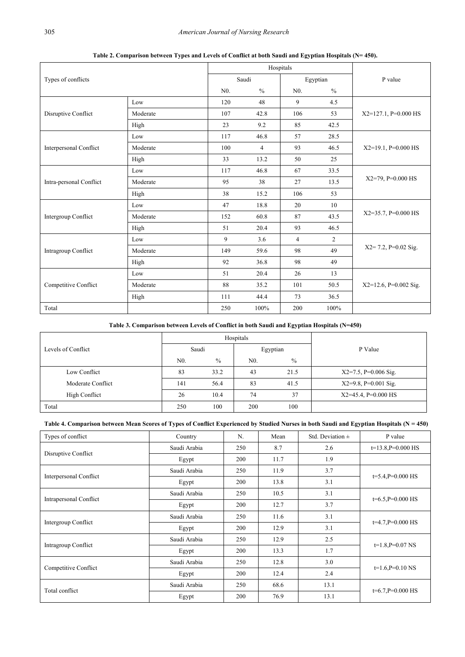<span id="page-4-0"></span>

| Types of conflicts            |          |                | Hospitals      |                |               |                          |  |
|-------------------------------|----------|----------------|----------------|----------------|---------------|--------------------------|--|
|                               |          | Saudi          |                | Egyptian       |               | P value                  |  |
|                               |          | N <sub>0</sub> | $\frac{0}{0}$  | N <sub>0</sub> | $\frac{0}{0}$ |                          |  |
|                               | Low      | 120            | 48             | 9              | 4.5           |                          |  |
| Disruptive Conflict           | Moderate | 107            | 42.8           | 106            | 53            | $X2=127.1$ , P=0.000 HS  |  |
|                               | High     | 23             | 9.2            | 85             | 42.5          |                          |  |
|                               | Low      | 117            | 46.8           | 57             | 28.5          |                          |  |
| <b>Interpersonal Conflict</b> | Moderate | 100            | $\overline{4}$ | 93             | 46.5          | $X2=19.1$ , P=0.000 HS   |  |
|                               | High     | 33             | 13.2           | 50             | 25            |                          |  |
|                               | Low      | 117            | 46.8           | 67             | 33.5          |                          |  |
| Intra-personal Conflict       | Moderate | 95             | 38             | 27             | 13.5          | $X2=79$ , P=0.000 HS     |  |
|                               | High     | 38             | 15.2           | 106            | 53            |                          |  |
| Intergroup Conflict           | Low      | 47             | 18.8           | 20             | 10            |                          |  |
|                               | Moderate | 152            | 60.8           | 87             | 43.5          | $X2=35.7$ , P=0.000 HS   |  |
|                               | High     | 51             | 20.4           | 93             | 46.5          |                          |  |
| Intragroup Conflict           | Low      | 9              | 3.6            | $\overline{4}$ | 2             |                          |  |
|                               | Moderate | 149            | 59.6           | 98             | 49            | $X2 = 7.2$ , P=0.02 Sig. |  |
|                               | High     | 92             | 36.8           | 98             | 49            |                          |  |
| Competitive Conflict          | Low      | 51             | 20.4           | 26             | 13            |                          |  |
|                               | Moderate | 88             | 35.2           | 101            | 50.5          | $X2=12.6$ , P=0.002 Sig. |  |
|                               | High     | 111            | 44.4           | 73             | 36.5          |                          |  |
| Total                         |          | 250            | 100%           | 200            | 100%          |                          |  |

**Table 2. Comparison between Types and Levels of Conflict at both Saudi and Egyptian Hospitals (N= 450).**

### **Table 3. Comparison between Levels of Conflict in both Saudi and Egyptian Hospitals (N=450)**

<span id="page-4-1"></span>

|                    |                |               | Hospitals      |               |                         |  |
|--------------------|----------------|---------------|----------------|---------------|-------------------------|--|
| Levels of Conflict | Saudi          |               | Egyptian       |               | P Value                 |  |
|                    | N <sub>0</sub> | $\frac{0}{0}$ | N <sub>0</sub> | $\frac{0}{0}$ |                         |  |
| Low Conflict       | 83             | 33.2          | 43             | 21.5          | $X2=7.5$ , P=0.006 Sig. |  |
| Moderate Conflict  | 141            | 56.4          | 83             | 41.5          | $X2=9.8$ , P=0.001 Sig. |  |
| High Conflict      | 26             | 10.4          | 74             | 37            | $X2=45.4$ , P=0.000 HS  |  |
| Total              | 250            | 100           | 200            | 100           |                         |  |

## **Table 4. Comparison between Mean Scores of Types of Conflict Experienced by Studied Nurses in both Saudi and Egyptian Hospitals (N = 450)**

<span id="page-4-2"></span>

| Types of conflict             | Country      | N.  | Mean | Std. Deviation $\pm$ | P value                 |  |
|-------------------------------|--------------|-----|------|----------------------|-------------------------|--|
|                               | Saudi Arabia | 250 | 8.7  | 2.6                  | $t=13.8$ , $P=0.000$ HS |  |
| Disruptive Conflict           | Egypt        | 200 | 11.7 | 1.9                  |                         |  |
| <b>Interpersonal Conflict</b> | Saudi Arabia | 250 | 11.9 | 3.7                  | $t=5.4$ , $P=0.000$ HS  |  |
|                               | Egypt        | 200 | 13.8 | 3.1                  |                         |  |
| <b>Intrapersonal Conflict</b> | Saudi Arabia | 250 | 10.5 | 3.1                  | $t=6.5$ , $P=0.000$ HS  |  |
|                               | Egypt        | 200 | 12.7 | 3.7                  |                         |  |
|                               | Saudi Arabia | 250 | 11.6 | 3.1                  |                         |  |
| Intergroup Conflict           | Egypt        | 200 | 12.9 | 3.1                  | $t=4.7$ , $P=0.000$ HS  |  |
|                               | Saudi Arabia | 250 | 12.9 | 2.5                  |                         |  |
| Intragroup Conflict           | Egypt        | 200 | 13.3 | 1.7                  | $t=1.8$ , $P=0.07$ NS   |  |
| Competitive Conflict          | Saudi Arabia | 250 | 12.8 | 3.0                  | $t=1.6$ , $P=0.10$ NS   |  |
|                               | Egypt        | 200 | 12.4 | 2.4                  |                         |  |
| Total conflict                | Saudi Arabia | 250 | 68.6 | 13.1                 |                         |  |
|                               | Egypt        | 200 | 76.9 | 13.1                 | $t=6.7$ , $P=0.000$ HS  |  |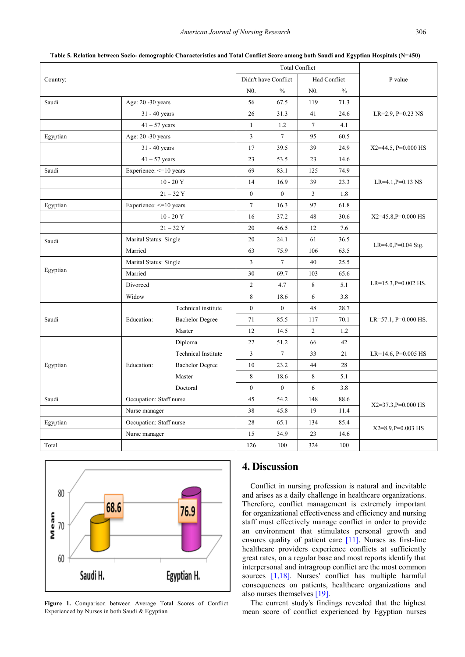<span id="page-5-0"></span>

| Country:                                             |                         |                        | <b>Total Conflict</b> |               |                |         |                           |  |
|------------------------------------------------------|-------------------------|------------------------|-----------------------|---------------|----------------|---------|---------------------------|--|
|                                                      |                         |                        | Didn't have Conflict  | Had Conflict  |                | P value |                           |  |
|                                                      |                         |                        | N <sub>0</sub> .      | $\frac{0}{0}$ | $N0$ .         | $\%$    |                           |  |
| Saudi                                                | Age: 20 -30 years       |                        | 56                    | 67.5          | 119            | 71.3    |                           |  |
|                                                      | $31 - 40$ years         |                        | 26                    | 31.3          | 41             | 24.6    | $LR=2.9$ , $P=0.23$ NS    |  |
|                                                      | $41 - 57$ years         |                        | $\mathbf{1}$          | 1.2           | $\tau$         | 4.1     |                           |  |
| Egyptian                                             | Age: 20 -30 years       |                        | $\mathfrak{Z}$        | $\tau$        | 95             | 60.5    |                           |  |
|                                                      | 31 - 40 years           |                        | 17                    | 39.5          | 39             | 24.9    | $X2=44.5$ , P=0.000 HS    |  |
|                                                      | $41 - 57$ years         |                        | 23                    | 53.5          | 23             | 14.6    |                           |  |
| Saudi                                                | Experience: <= 10 years |                        | 69                    | 83.1          | 125            | 74.9    |                           |  |
|                                                      |                         | $10 - 20Y$             | 14                    | 16.9          | 39             | 23.3    | $LR=4.1, P=0.13$ NS       |  |
|                                                      |                         | $21 - 32Y$             | $\mathbf{0}$          | $\mathbf{0}$  | 3              | 1.8     |                           |  |
| Egyptian                                             | Experience: <= 10 years |                        | $\overline{7}$        | 16.3          | 97             | 61.8    |                           |  |
|                                                      |                         | $10 - 20Y$             | 16                    | 37.2          | 48             | 30.6    | $X2=45.8$ , $P=0.000$ HS  |  |
|                                                      |                         | $21 - 32Y$             | 20                    | 46.5          | 12             | 7.6     |                           |  |
| Saudi                                                | Marital Status: Single  |                        | 20                    | 24.1          | 61             | 36.5    | LR=4.0,P=0.04 Sig.        |  |
|                                                      | Married                 |                        | 63                    | 75.9          | 106            | 63.5    |                           |  |
|                                                      | Marital Status: Single  |                        | 3                     | $\tau$        | 40             | 25.5    |                           |  |
| Egyptian                                             | Married                 |                        | 30                    | 69.7          | 103            | 65.6    |                           |  |
|                                                      | Divorced                |                        | $\overline{2}$        | 4.7           | 8              | 5.1     | $LR=15.3, P=0.002$ HS.    |  |
|                                                      | Widow                   |                        | 8                     | 18.6          | 6              | 3.8     |                           |  |
|                                                      | Education:              | Technical institute    | $\mathbf{0}$          | $\mathbf{0}$  | 48             | 28.7    | $LR=57.1$ , $P=0.000$ HS. |  |
| Saudi                                                |                         | <b>Bachelor Degree</b> | 71                    | 85.5          | 117            | 70.1    |                           |  |
|                                                      |                         | Master                 | 12                    | 14.5          | $\overline{2}$ | 1.2     |                           |  |
|                                                      | Education:              | Diploma                | 22                    | 51.2          | 66             | 42      |                           |  |
|                                                      |                         | Technical Institute    | 3                     | $\tau$        | 33             | 21      | LR=14.6, $P=0.005$ HS     |  |
| Egyptian                                             |                         | <b>Bachelor Degree</b> | 10                    | 23.2          | 44             | 28      |                           |  |
|                                                      |                         | Master                 | 8                     | 18.6          | 8              | 5.1     |                           |  |
|                                                      |                         | Doctoral               | $\mathbf{0}$          | $\mathbf{0}$  | 6              | 3.8     |                           |  |
| Saudi                                                | Occupation: Staff nurse |                        | 45                    | 54.2          | 148            | 88.6    | $X2=37.3$ , $P=0.000$ HS  |  |
|                                                      | Nurse manager           |                        | 38                    | 45.8          | 19             | 11.4    |                           |  |
| Occupation: Staff nurse<br>Egyptian<br>Nurse manager |                         |                        | 28                    | 65.1          | 134            | 85.4    | $X2=8.9$ , $P=0.003$ HS   |  |
|                                                      |                         |                        | 15                    | 34.9          | 23             | 14.6    |                           |  |
| Total                                                |                         |                        | 126                   | 100           | 324            | 100     |                           |  |

**Table 5. Relation between Socio- demographic Characteristics and Total Conflict Score among both Saudi and Egyptian Hospitals (N=450)**

<span id="page-5-1"></span>

**Figure 1.** Comparison between Average Total Scores of Conflict Experienced by Nurses in both Saudi & Egyptian

# **4. Discussion**

Conflict in nursing profession is natural and inevitable and arises as a daily challenge in healthcare organizations. Therefore, conflict management is extremely important for organizational effectiveness and efficiency and nursing staff must effectively manage conflict in order to provide an environment that stimulates personal growth and ensures quality of patient care [\[11\].](#page-8-8) Nurses as first-line healthcare providers experience conflicts at sufficiently great rates, on a regular base and most reports identify that interpersonal and intragroup conflict are the most common sources [\[1,18\].](#page-7-0) Nurses' conflict has multiple harmful consequences on patients, healthcare organizations and also nurses themselves [\[19\].](#page-8-15) 

The current study's findings revealed that the highest mean score of conflict experienced by Egyptian nurses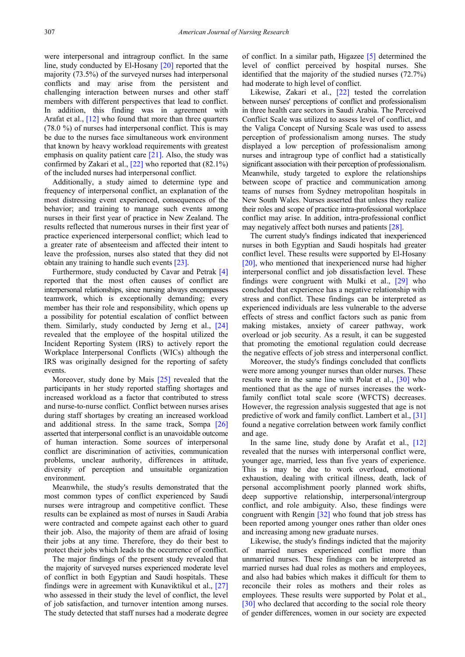were interpersonal and intragroup conflict. In the same line, study conducted by El-Hosany [\[20\]](#page-8-16) reported that the majority (73.5%) of the surveyed nurses had interpersonal conflicts and may arise from the persistent and challenging interaction between nurses and other staff members with different perspectives that lead to conflict. In addition, this finding was in agreement with Arafat et al., [\[12\]](#page-8-9) who found that more than three quarters (78.0 %) of nurses had interpersonal conflict. This is may be due to the nurses face simultaneous work environment that known by heavy workload requirements with greatest emphasis on quality patient care  $[21]$ . Also, the study was confirmed by Zakari et al., [\[22\]](#page-8-18) who reported that (82.1%) of the included nurses had interpersonal conflict.

Additionally, a study aimed to determine type and frequency of interpersonal conflict, an explanation of the most distressing event experienced, consequences of the behavior; and training to manage such events among nurses in their first year of practice in New Zealand. The results reflected that numerous nurses in their first year of practice experienced interpersonal conflict; which lead to a greater rate of absenteeism and affected their intent to leave the profession, nurses also stated that they did not obtain any training to handle such events [\[23\].](#page-8-19)

Furthermore, study conducted by Cavar and Petrak [\[4\]](#page-8-1) reported that the most often causes of conflict are interpersonal relationships, since nursing always encompasses teamwork, which is exceptionally demanding; every member has their role and responsibility, which opens up a possibility for potential escalation of conflict between them. Similarly, study conducted by Jerng et al., [\[24\]](#page-8-20) revealed that the employee of the hospital utilized the Incident Reporting System (IRS) to actively report the Workplace Interpersonal Conflicts (WICs) although the IRS was originally designed for the reporting of safety events.

Moreover, study done by Mais [\[25\]](#page-8-21) revealed that the participants in her study reported staffing shortages and increased workload as a factor that contributed to stress and nurse-to-nurse conflict. Conflict between nurses arises during staff shortages by creating an increased workload and additional stress. In the same track, Sompa [\[26\]](#page-8-22) asserted that interpersonal conflict is an unavoidable outcome of human interaction. Some sources of interpersonal conflict are discrimination of activities, communication problems, unclear authority, differences in attitude, diversity of perception and unsuitable organization environment.

Meanwhile, the study's results demonstrated that the most common types of conflict experienced by Saudi nurses were intragroup and competitive conflict. These results can be explained as most of nurses in Saudi Arabia were contracted and compete against each other to guard their job. Also, the majority of them are afraid of losing their jobs at any time. Therefore, they do their best to protect their jobs which leads to the occurrence of conflict.

The major findings of the present study revealed that the majority of surveyed nurses experienced moderate level of conflict in both Egyptian and Saudi hospitals. These findings were in agreement with Kunaviktikul et al., [\[27\]](#page-8-23) who assessed in their study the level of conflict, the level of job satisfaction, and turnover intention among nurses. The study detected that staff nurses had a moderate degree of conflict. In a similar path, Higazee [\[5\]](#page-8-2) determined the level of conflict perceived by hospital nurses. She identified that the majority of the studied nurses (72.7%) had moderate to high level of conflict.

Likewise, Zakari et al., [\[22\]](#page-8-18) tested the correlation between nurses' perceptions of conflict and professionalism in three health care sectors in Saudi Arabia. The Perceived Conflict Scale was utilized to assess level of conflict, and the Valiga Concept of Nursing Scale was used to assess perception of professionalism among nurses. The study displayed a low perception of professionalism among nurses and intragroup type of conflict had a statistically significant association with their perception of professionalism. Meanwhile, study targeted to explore the relationships between scope of practice and communication among teams of nurses from Sydney metropolitan hospitals in New South Wales. Nurses asserted that unless they realize their roles and scope of practice intra-professional workplace conflict may arise. In addition, intra-professional conflict may negatively affect both nurses and patients [\[28\].](#page-8-24)

The current study's findings indicated that inexperienced nurses in both Egyptian and Saudi hospitals had greater conflict level. These results were supported by El-Hosany [\[20\],](#page-8-16) who mentioned that inexperienced nurse had higher interpersonal conflict and job dissatisfaction level. These findings were congruent with Mulki et al., [\[29\]](#page-8-25) who concluded that experience has a negative relationship with stress and conflict. These findings can be interpreted as experienced individuals are less vulnerable to the adverse effects of stress and conflict factors such as panic from making mistakes, anxiety of career pathway, work overload or job security. As a result, it can be suggested that promoting the emotional regulation could decrease the negative effects of job stress and interpersonal conflict.

Moreover, the study's findings concluded that conflicts were more among younger nurses than older nurses. These results were in the same line with Polat et al., [\[30\]](#page-8-26) who mentioned that as the age of nurses increases the workfamily conflict total scale score (WFCTS) decreases. However, the regression analysis suggested that age is not predictive of work and family conflict. Lambert et al., [\[31\]](#page-8-27) found a negative correlation between work family conflict and age.

In the same line, study done by Arafat et al., [\[12\]](#page-8-9) revealed that the nurses with interpersonal conflict were, younger age, married, less than five years of experience. This is may be due to work overload, emotional exhaustion, dealing with critical illness, death, lack of personal accomplishment poorly planned work shifts, deep supportive relationship, interpersonal/intergroup conflict, and role ambiguity. Also, these findings were congruent with Rengin [\[32\]](#page-8-28) who found that job stress has been reported among younger ones rather than older ones and increasing among new graduate nurses.

Likewise, the study's findings indicted that the majority of married nurses experienced conflict more than unmarried nurses. These findings can be interpreted as married nurses had dual roles as mothers and employees, and also had babies which makes it difficult for them to reconcile their roles as mothers and their roles as employees. These results were supported by Polat et al., [\[30\]](#page-8-26) who declared that according to the social role theory of gender differences, women in our society are expected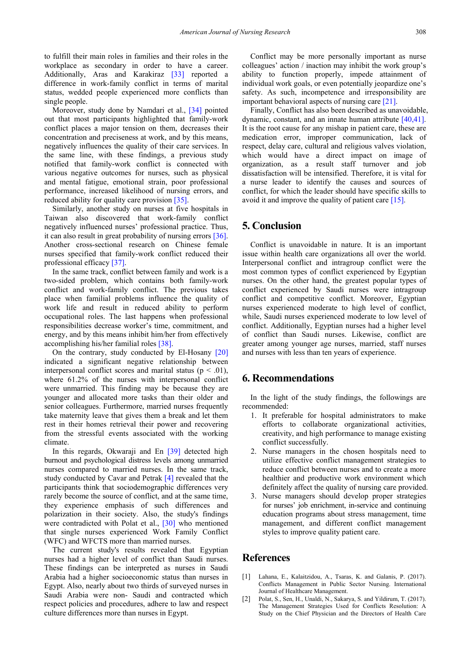to fulfill their main roles in families and their roles in the workplace as secondary in order to have a career. Additionally, Aras and Karakiraz [\[33\]](#page-8-29) reported a difference in work-family conflict in terms of marital status, wedded people experienced more conflicts than single people.

Moreover, study done by Namdari et al., [\[34\]](#page-8-30) pointed out that most participants highlighted that family-work conflict places a major tension on them, decreases their concentration and preciseness at work, and by this means, negatively influences the quality of their care services. In the same line, with these findings, a previous study notified that family-work conflict is connected with various negative outcomes for nurses, such as physical and mental fatigue, emotional strain, poor professional performance, increased likelihood of nursing errors, and reduced ability for quality care provision [\[35\].](#page-8-31) 

Similarly, another study on nurses at five hospitals in Taiwan also discovered that work-family conflict negatively influenced nurses' professional practice. Thus, it can also result in great probability of nursing errors [\[36\].](#page-8-32) Another cross-sectional research on Chinese female nurses specified that family-work conflict reduced their professional efficacy [\[37\].](#page-8-33) 

In the same track, conflict between family and work is a two-sided problem, which contains both family-work conflict and work-family conflict. The previous takes place when familial problems influence the quality of work life and result in reduced ability to perform occupational roles. The last happens when professional responsibilities decrease worker's time, commitment, and energy, and by this means inhibit him/her from effectively accomplishing his/her familial roles [\[38\].](#page-8-34) 

On the contrary, study conducted by El-Hosany [\[20\]](#page-8-16) indicated a significant negative relationship between interpersonal conflict scores and marital status ( $p < .01$ ), where 61.2% of the nurses with interpersonal conflict were unmarried. This finding may be because they are younger and allocated more tasks than their older and senior colleagues. Furthermore, married nurses frequently take maternity leave that gives them a break and let them rest in their homes retrieval their power and recovering from the stressful events associated with the working climate.

In this regards, Okwaraji and En [\[39\]](#page-8-35) detected high burnout and psychological distress levels among unmarried nurses compared to married nurses. In the same track, study conducted by Cavar and Petrak [\[4\]](#page-8-1) revealed that the participants think that sociodemographic differences very rarely become the source of conflict, and at the same time, they experience emphasis of such differences and polarization in their society. Also, the study's findings were contradicted with Polat et al., [\[30\]](#page-8-26) who mentioned that single nurses experienced Work Family Conflict (WFC) and WFCTS more than married nurses.

The current study's results revealed that Egyptian nurses had a higher level of conflict than Saudi nurses. These findings can be interpreted as nurses in Saudi Arabia had a higher socioeconomic status than nurses in Egypt. Also, nearly about two thirds of surveyed nurses in Saudi Arabia were non- Saudi and contracted which respect policies and procedures, adhere to law and respect culture differences more than nurses in Egypt.

Conflict may be more personally important as nurse colleagues' action / inaction may inhibit the work group's ability to function properly, impede attainment of individual work goals, or even potentially jeopardize one's safety. As such, incompetence and irresponsibility are important behavioral aspects of nursing care [\[21\].](#page-8-17)

Finally, Conflict has also been described as unavoidable, dynamic, constant, and an innate human attribute [\[40,41\].](#page-8-36) It is the root cause for any mishap in patient care, these are medication error, improper communication, lack of respect, delay care, cultural and religious valves violation, which would have a direct impact on image of organization, as a result staff turnover and job dissatisfaction will be intensified. Therefore, it is vital for a nurse leader to identify the causes and sources of conflict, for which the leader should have specific skills to avoid it and improve the quality of patient care [\[15\].](#page-8-12)

# **5. Conclusion**

Conflict is unavoidable in nature. It is an important issue within health care organizations all over the world. Interpersonal conflict and intragroup conflict were the most common types of conflict experienced by Egyptian nurses. On the other hand, the greatest popular types of conflict experienced by Saudi nurses were intragroup conflict and competitive conflict. Moreover, Egyptian nurses experienced moderate to high level of conflict, while, Saudi nurses experienced moderate to low level of conflict. Additionally, Egyptian nurses had a higher level of conflict than Saudi nurses. Likewise, conflict are greater among younger age nurses, married, staff nurses and nurses with less than ten years of experience.

# **6. Recommendations**

In the light of the study findings, the followings are recommended:

- 1. It preferable for hospital administrators to make efforts to collaborate organizational activities, creativity, and high performance to manage existing conflict successfully.
- 2. Nurse managers in the chosen hospitals need to utilize effective conflict management strategies to reduce conflict between nurses and to create a more healthier and productive work environment which definitely affect the quality of nursing care provided.
- 3. Nurse managers should develop proper strategies for nurses' job enrichment, in-service and continuing education programs about stress management, time management, and different conflict management styles to improve quality patient care.

# **References**

- <span id="page-7-0"></span>[1] Lahana, E., Kalaitzidou, A., Tsaras, K. and Galanis, P. (2017). Conflicts Management in Public Sector Nursing. International Journal of Healthcare Management.
- [2] Polat, S., Sen, H., Unaldi, N., Sakarya, S. and Yildirum, T. (2017). The Management Strategies Used for Conflicts Resolution: A Study on the Chief Physician and the Directors of Health Care